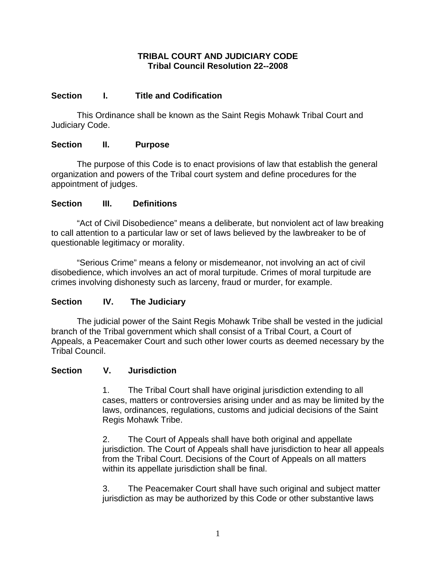### **TRIBAL COURT AND JUDICIARY CODE Tribal Council Resolution 22--2008**

# **Section I. Title and Codification**

 This Ordinance shall be known as the Saint Regis Mohawk Tribal Court and Judiciary Code.

# **Section II. Purpose**

 The purpose of this Code is to enact provisions of law that establish the general organization and powers of the Tribal court system and define procedures for the appointment of judges.

# **Section III. Definitions**

 "Act of Civil Disobedience" means a deliberate, but nonviolent act of law breaking to call attention to a particular law or set of laws believed by the lawbreaker to be of questionable legitimacy or morality.

 "Serious Crime" means a felony or misdemeanor, not involving an act of civil disobedience, which involves an act of moral turpitude. Crimes of moral turpitude are crimes involving dishonesty such as larceny, fraud or murder, for example.

# **Section IV. The Judiciary**

 The judicial power of the Saint Regis Mohawk Tribe shall be vested in the judicial branch of the Tribal government which shall consist of a Tribal Court, a Court of Appeals, a Peacemaker Court and such other lower courts as deemed necessary by the Tribal Council.

### **Section V. Jurisdiction**

 1. The Tribal Court shall have original jurisdiction extending to all cases, matters or controversies arising under and as may be limited by the laws, ordinances, regulations, customs and judicial decisions of the Saint Regis Mohawk Tribe.

2. The Court of Appeals shall have both original and appellate jurisdiction. The Court of Appeals shall have jurisdiction to hear all appeals from the Tribal Court. Decisions of the Court of Appeals on all matters within its appellate jurisdiction shall be final.

3. The Peacemaker Court shall have such original and subject matter jurisdiction as may be authorized by this Code or other substantive laws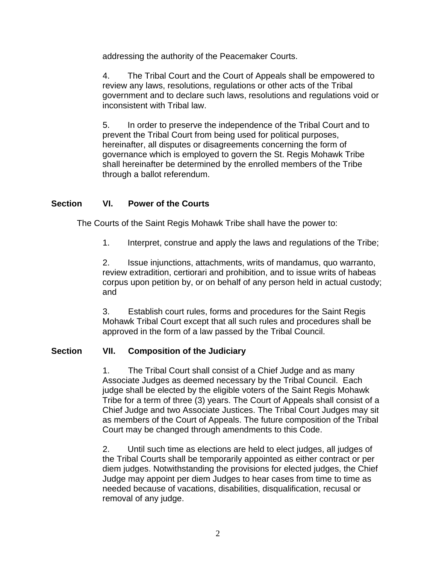addressing the authority of the Peacemaker Courts.

4. The Tribal Court and the Court of Appeals shall be empowered to review any laws, resolutions, regulations or other acts of the Tribal government and to declare such laws, resolutions and regulations void or inconsistent with Tribal law.

5. In order to preserve the independence of the Tribal Court and to prevent the Tribal Court from being used for political purposes, hereinafter, all disputes or disagreements concerning the form of governance which is employed to govern the St. Regis Mohawk Tribe shall hereinafter be determined by the enrolled members of the Tribe through a ballot referendum.

### **Section VI. Power of the Courts**

The Courts of the Saint Regis Mohawk Tribe shall have the power to:

1. Interpret, construe and apply the laws and regulations of the Tribe;

2. Issue injunctions, attachments, writs of mandamus, quo warranto, review extradition, certiorari and prohibition, and to issue writs of habeas corpus upon petition by, or on behalf of any person held in actual custody; and

3. Establish court rules, forms and procedures for the Saint Regis Mohawk Tribal Court except that all such rules and procedures shall be approved in the form of a law passed by the Tribal Council.

#### **Section VII. Composition of the Judiciary**

1. The Tribal Court shall consist of a Chief Judge and as many Associate Judges as deemed necessary by the Tribal Council. Each judge shall be elected by the eligible voters of the Saint Regis Mohawk Tribe for a term of three (3) years. The Court of Appeals shall consist of a Chief Judge and two Associate Justices. The Tribal Court Judges may sit as members of the Court of Appeals. The future composition of the Tribal Court may be changed through amendments to this Code.

2. Until such time as elections are held to elect judges, all judges of the Tribal Courts shall be temporarily appointed as either contract or per diem judges. Notwithstanding the provisions for elected judges, the Chief Judge may appoint per diem Judges to hear cases from time to time as needed because of vacations, disabilities, disqualification, recusal or removal of any judge.